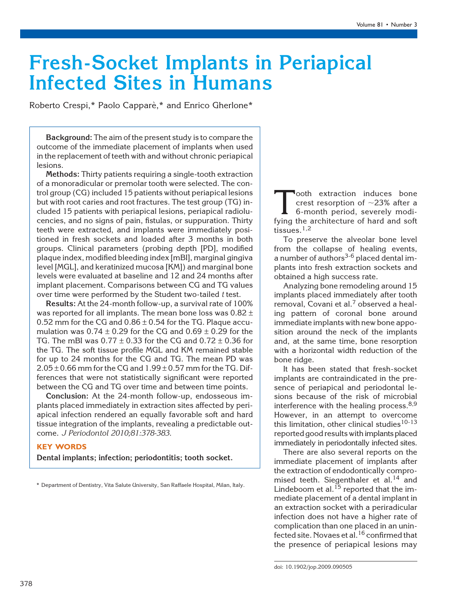# Fresh-Socket Implants in Periapical Infected Sites in Humans

Roberto Crespi,\* Paolo Capparè,\* and Enrico Gherlone\*

Background: The aim of the present study is to compare the outcome of the immediate placement of implants when used in the replacement of teeth with and without chronic periapical lesions.

Methods: Thirty patients requiring a single-tooth extraction of a monoradicular or premolar tooth were selected. The control group (CG) included 15 patients without periapical lesions but with root caries and root fractures. The test group (TG) included 15 patients with periapical lesions, periapical radiolucencies, and no signs of pain, fistulas, or suppuration. Thirty teeth were extracted, and implants were immediately positioned in fresh sockets and loaded after 3 months in both groups. Clinical parameters (probing depth [PD], modified plaque index, modified bleeding index [mBI], marginal gingiva level [MGL], and keratinized mucosa [KM]) and marginal bone levels were evaluated at baseline and 12 and 24 months after implant placement. Comparisons between CG and TG values over time were performed by the Student two-tailed  $t$  test.

Results: At the 24-month follow-up, a survival rate of 100% was reported for all implants. The mean bone loss was  $0.82 \pm 1$ 0.52 mm for the CG and  $0.86 \pm 0.54$  for the TG. Plaque accumulation was  $0.74 \pm 0.29$  for the CG and  $0.69 \pm 0.29$  for the TG. The mBI was  $0.77 \pm 0.33$  for the CG and  $0.72 \pm 0.36$  for the TG. The soft tissue profile MGL and KM remained stable for up to 24 months for the CG and TG. The mean PD was  $2.05 \pm 0.66$  mm for the CG and  $1.99 \pm 0.57$  mm for the TG. Differences that were not statistically significant were reported between the CG and TG over time and between time points.

Conclusion: At the 24-month follow-up, endosseous implants placed immediately in extraction sites affected by periapical infection rendered an equally favorable soft and hard tissue integration of the implants, revealing a predictable outcome. J Periodontol 2010;81:378-383.

# KEY WORDS

Dental implants; infection; periodontitis; tooth socket.

\* Department of Dentistry, Vita Salute University, San Raffaele Hospital, Milan, Italy.

Tooth extraction induces bone<br>crest resorption of  $\sim$ 23% after a<br>6-month period, severely modi-<br>fying the architecture of hard and soft crest resorption of  ${\sim}23\%$  after a 6-month period, severely modifying the architecture of hard and soft tissues.<sup>1,2</sup>

To preserve the alveolar bone level from the collapse of healing events, a number of authors<sup>3-6</sup> placed dental implants into fresh extraction sockets and obtained a high success rate.

Analyzing bone remodeling around 15 implants placed immediately after tooth removal, Covani et al.<sup>7</sup> observed a healing pattern of coronal bone around immediate implants with new bone apposition around the neck of the implants and, at the same time, bone resorption with a horizontal width reduction of the bone ridge.

It has been stated that fresh-socket implants are contraindicated in the presence of periapical and periodontal lesions because of the risk of microbial interference with the healing process.<sup>8,9</sup> However, in an attempt to overcome this limitation, other clinical studies<sup>10-13</sup> reported good results with implants placed immediately in periodontally infected sites.

There are also several reports on the immediate placement of implants after the extraction of endodontically compromised teeth. Siegenthaler et al.<sup>14</sup> and Lindeboom et al. $^{15}$  reported that the immediate placement of a dental implant in an extraction socket with a periradicular infection does not have a higher rate of complication than one placed in an uninfected site. Novaes et al.<sup>16</sup> confirmed that the presence of periapical lesions may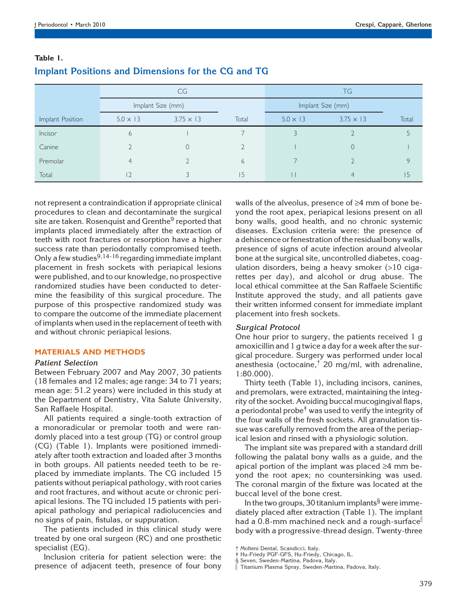|                  | CG                |                  |       | <b>TG</b>         |                  |       |
|------------------|-------------------|------------------|-------|-------------------|------------------|-------|
|                  | Implant Size (mm) |                  |       | Implant Size (mm) |                  |       |
| Implant Position | $5.0 \times 13$   | $3.75 \times 13$ | Total | $5.0 \times 13$   | $3.75 \times 13$ | Total |
| Incisor          | 6                 |                  |       |                   |                  |       |
| Canine           |                   |                  |       |                   | 0                |       |
| Premolar         | 4                 |                  | 6     |                   |                  |       |
| Total            | $\overline{2}$    |                  | 15    |                   |                  |       |

# Table 1. Implant Positions and Dimensions for the CG and TG

not represent a contraindication if appropriate clinical procedures to clean and decontaminate the surgical site are taken. Rosenquist and Grenthe<sup>9</sup> reported that implants placed immediately after the extraction of teeth with root fractures or resorption have a higher success rate than periodontally compromised teeth. Only a few studies<sup>9,14-16</sup> regarding immediate implant placement in fresh sockets with periapical lesions were published, and to our knowledge, no prospective randomized studies have been conducted to determine the feasibility of this surgical procedure. The purpose of this prospective randomized study was to compare the outcome of the immediate placement of implants when used in the replacement of teeth with and without chronic periapical lesions.

#### MATERIALS AND METHODS

#### Patient Selection

Between February 2007 and May 2007, 30 patients (18 females and 12 males; age range: 34 to 71 years; mean age: 51.2 years) were included in this study at the Department of Dentistry, Vita Salute University, San Raffaele Hospital.

All patients required a single-tooth extraction of a monoradicular or premolar tooth and were randomly placed into a test group (TG) or control group (CG) (Table 1). Implants were positioned immediately after tooth extraction and loaded after 3 months in both groups. All patients needed teeth to be replaced by immediate implants. The CG included 15 patients without periapical pathology, with root caries and root fractures, and without acute or chronic periapical lesions. The TG included 15 patients with periapical pathology and periapical radiolucencies and no signs of pain, fistulas, or suppuration.

The patients included in this clinical study were treated by one oral surgeon (RC) and one prosthetic specialist (EG).

Inclusion criteria for patient selection were: the presence of adjacent teeth, presence of four bony walls of the alveolus, presence of  $\geq 4$  mm of bone beyond the root apex, periapical lesions present on all bony walls, good health, and no chronic systemic diseases. Exclusion criteria were: the presence of a dehiscence or fenestration of the residual bony walls, presence of signs of acute infection around alveolar bone at the surgical site, uncontrolled diabetes, coagulation disorders, being a heavy smoker (>10 cigarettes per day), and alcohol or drug abuse. The local ethical committee at the San Raffaele Scientific Institute approved the study, and all patients gave their written informed consent for immediate implant placement into fresh sockets.

# Surgical Protocol

One hour prior to surgery, the patients received 1 g amoxicillin and 1 g twice a day for a week after the surgical procedure. Surgery was performed under local anesthesia (octocaine,† 20 mg/ml, with adrenaline, 1:80.000).

Thirty teeth (Table 1), including incisors, canines, and premolars, were extracted, maintaining the integrity of the socket. Avoiding buccal mucogingival flaps, a periodontal probe<sup> $\dagger$ </sup> was used to verify the integrity of the four walls of the fresh sockets. All granulation tissue was carefully removed from the area of the periapical lesion and rinsed with a physiologic solution.

The implant site was prepared with a standard drill following the palatal bony walls as a guide, and the apical portion of the implant was placed  $\geq 4$  mm beyond the root apex; no countersinking was used. The coronal margin of the fixture was located at the buccal level of the bone crest.

In the two groups, 30 titanium implants§ were immediately placed after extraction (Table 1). The implant had a 0.8-mm machined neck and a rough-surface body with a progressive-thread design. Twenty-three

Molteni Dental, Scandicci, Italy.

<sup>‡</sup> Hu-Friedy PGF-GFS, Hu-Friedy, Chicago, IL. § Seven, Sweden-Martina, Padova, Italy.<br>∥ Titanium Plaemo Carel Carel Carel Carel Carel Carel Carel Carel Carel Carel Carel Carel Carel Carel Carel Car

Titanium Plasma Spray, Sweden-Martina, Padova, Italy.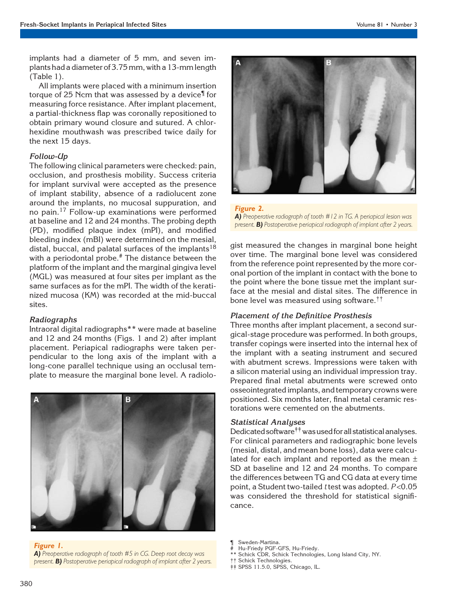implants had a diameter of 5 mm, and seven implants had a diameter of 3.75 mm, with a 13-mm length (Table 1).

All implants were placed with a minimum insertion torque of 25 Ncm that was assessed by a device¶ for measuring force resistance. After implant placement, a partial-thickness flap was coronally repositioned to obtain primary wound closure and sutured. A chlorhexidine mouthwash was prescribed twice daily for the next 15 days.

## Follow-Up

The following clinical parameters were checked: pain, occlusion, and prosthesis mobility. Success criteria for implant survival were accepted as the presence of implant stability, absence of a radiolucent zone around the implants, no mucosal suppuration, and no pain.<sup>17</sup> Follow-up examinations were performed at baseline and 12 and 24 months. The probing depth (PD), modified plaque index (mPI), and modified bleeding index (mBI) were determined on the mesial, distal, buccal, and palatal surfaces of the implants<sup>18</sup> with a periodontal probe.<sup>#</sup> The distance between the platform of the implant and the marginal gingiva level (MGL) was measured at four sites per implant as the same surfaces as for the mPI. The width of the keratinized mucosa (KM) was recorded at the mid-buccal sites.

#### Radiographs

Intraoral digital radiographs\*\* were made at baseline and 12 and 24 months (Figs. 1 and 2) after implant placement. Periapical radiographs were taken perpendicular to the long axis of the implant with a long-cone parallel technique using an occlusal template to measure the marginal bone level. A radiolo-



Figure 1. A) Preoperative radiograph of tooth #5 in CG. Deep root decay was present. **B)** Postoperative periapical radiograph of implant after 2 years.



#### Figure 2.

A) Preoperative radiograph of tooth #12 in TG. A periapical lesion was present. **B)** Postoperative periapical radiograph of implant after 2 years.

gist measured the changes in marginal bone height over time. The marginal bone level was considered from the reference point represented by the more coronal portion of the implant in contact with the bone to the point where the bone tissue met the implant surface at the mesial and distal sites. The difference in bone level was measured using software.††

#### Placement of the Definitive Prosthesis

Three months after implant placement, a second surgical-stage procedure was performed. In both groups, transfer copings were inserted into the internal hex of the implant with a seating instrument and secured with abutment screws. Impressions were taken with a silicon material using an individual impression tray. Prepared final metal abutments were screwed onto osseointegrated implants, and temporary crowns were positioned. Six months later, final metal ceramic restorations were cemented on the abutments.

# Statistical Analyses

Dedicated software $\dagger\ddagger$  was used for all statistical analyses. For clinical parameters and radiographic bone levels (mesial, distal, and mean bone loss), data were calculated for each implant and reported as the mean  $\pm$ SD at baseline and 12 and 24 months. To compare the differences between TG and CG data at every time point, a Student two-tailed t test was adopted. P<0.05 was considered the threshold for statistical significance.

¶ Sweden-Martina.

- # Hu-Friedy PGF-GFS, Hu-Friedy.
- Schick CDR, Schick Technologies, Long Island City, NY.
- Schick Technologies.
- ‡‡ SPSS 11.5.0, SPSS, Chicago, IL.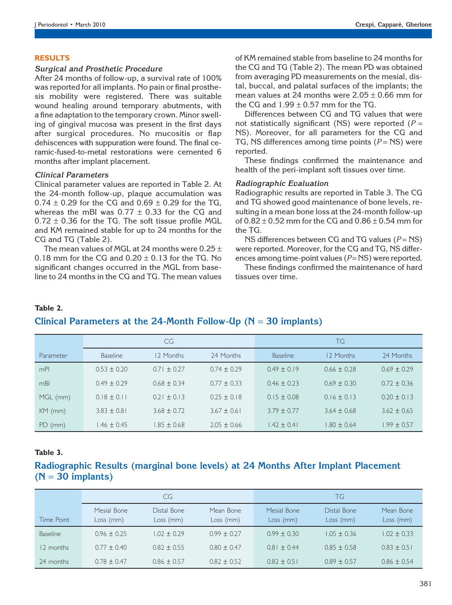#### RESULTS

#### Surgical and Prosthetic Procedure

After 24 months of follow-up, a survival rate of 100% was reported for all implants. No pain or final prosthesis mobility were registered. There was suitable wound healing around temporary abutments, with a fine adaptation to the temporary crown. Minor swelling of gingival mucosa was present in the first days after surgical procedures. No mucositis or flap dehiscences with suppuration were found. The final ceramic-fused-to-metal restorations were cemented 6 months after implant placement.

## Clinical Parameters

Clinical parameter values are reported in Table 2. At the 24-month follow-up, plaque accumulation was  $0.74 \pm 0.29$  for the CG and  $0.69 \pm 0.29$  for the TG, whereas the mBI was  $0.77 \pm 0.33$  for the CG and  $0.72 \pm 0.36$  for the TG. The soft tissue profile MGL and KM remained stable for up to 24 months for the CG and TG (Table 2).

The mean values of MGL at 24 months were  $0.25 \pm 1$ 0.18 mm for the CG and  $0.20 \pm 0.13$  for the TG. No significant changes occurred in the MGL from baseline to 24 months in the CG and TG. The mean values of KM remained stable from baseline to 24 months for the CG and TG (Table 2). The mean PD was obtained from averaging PD measurements on the mesial, distal, buccal, and palatal surfaces of the implants; the mean values at 24 months were  $2.05 \pm 0.66$  mm for the CG and  $1.99 \pm 0.57$  mm for the TG.

Differences between CG and TG values that were not statistically significant (NS) were reported ( $P =$ NS). Moreover, for all parameters for the CG and TG, NS differences among time points  $(P = NS)$  were reported.

These findings confirmed the maintenance and health of the peri-implant soft tissues over time.

## Radiographic Evaluation

Radiographic results are reported in Table 3. The CG and TG showed good maintenance of bone levels, resulting in a mean bone loss at the 24-month follow-up of  $0.82 \pm 0.52$  mm for the CG and  $0.86 \pm 0.54$  mm for the TG.

NS differences between CG and TG values  $(P = NS)$ were reported. Moreover, for the CG and TG, NS differences among time-point values ( $P = NS$ ) were reported.

These findings confirmed the maintenance of hard tissues over time.

#### Table 2.

# Clinical Parameters at the 24-Month Follow-Up ( $N = 30$  implants)

|           |                 | CG              |                 |                 | TG              |                 |
|-----------|-----------------|-----------------|-----------------|-----------------|-----------------|-----------------|
| Parameter | <b>Baseline</b> | 12 Months       | 24 Months       | <b>Baseline</b> | 12 Months       | 24 Months       |
| mPI       | $0.53 \pm 0.20$ | $0.71 \pm 0.27$ | $0.74 \pm 0.29$ | $0.49 \pm 0.19$ | $0.66 \pm 0.28$ | $0.69 \pm 0.29$ |
| mBI       | $0.49 \pm 0.29$ | $0.68 \pm 0.34$ | $0.77 \pm 0.33$ | $0.46 \pm 0.23$ | $0.69 \pm 0.30$ | $0.72 \pm 0.36$ |
| MGL (mm)  | $0.18 \pm 0.11$ | $0.21 \pm 0.13$ | $0.25 \pm 0.18$ | $0.15 \pm 0.08$ | $0.16 \pm 0.13$ | $0.20 \pm 0.13$ |
| $KM$ (mm) | $3.83 \pm 0.81$ | $3.68 \pm 0.72$ | $3.67 \pm 0.61$ | $3.79 \pm 0.77$ | $3.64 \pm 0.68$ | $3.62 \pm 0.65$ |
| $PD$ (mm) | $1.46 \pm 0.45$ | $1.85 \pm 0.68$ | $2.05 \pm 0.66$ | $1.42 \pm 0.41$ | $.80 \pm 0.64$  | $.99 \pm 0.57$  |

# Table 3.

# Radiographic Results (marginal bone levels) at 24 Months After Implant Placement  $(N = 30$  implants)

|                 | CG.                      |                          |                        | <b>TG</b>                |                          |                        |
|-----------------|--------------------------|--------------------------|------------------------|--------------------------|--------------------------|------------------------|
| Time Point      | Mesial Bone<br>Loss (mm) | Distal Bone<br>Loss (mm) | Mean Bone<br>Loss (mm) | Mesial Bone<br>Loss (mm) | Distal Bone<br>Loss (mm) | Mean Bone<br>Loss (mm) |
| <b>Baseline</b> | $0.96 \pm 0.25$          | $1.02 \pm 0.29$          | $0.99 \pm 0.27$        | $0.99 \pm 0.30$          | $1.05 \pm 0.36$          | $1.02 \pm 0.33$        |
| 12 months       | $0.77 \pm 0.40$          | $0.82 \pm 0.55$          | $0.80 \pm 0.47$        | $0.81 \pm 0.44$          | $0.85 \pm 0.58$          | $0.83 \pm 0.51$        |
| 24 months       | $0.78 \pm 0.47$          | $0.86 \pm 0.57$          | $0.82 \pm 0.52$        | $0.82 \pm 0.51$          | $0.89 \pm 0.57$          | $0.86 \pm 0.54$        |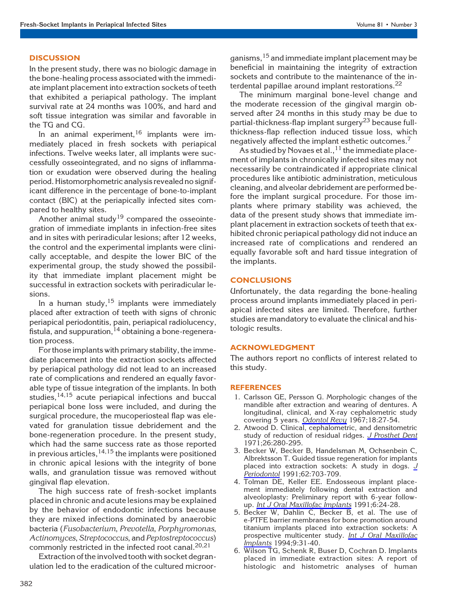## **DISCUSSION**

In the present study, there was no biologic damage in the bone-healing process associated with the immediate implant placement into extraction sockets of teeth that exhibited a periapical pathology. The implant survival rate at 24 months was 100%, and hard and soft tissue integration was similar and favorable in the TG and CG.

In an animal experiment,  $16$  implants were immediately placed in fresh sockets with periapical infections. Twelve weeks later, all implants were successfully osseointegrated, and no signs of inflammation or exudation were observed during the healing period. Histomorphometric analysis revealed no significant difference in the percentage of bone-to-implant contact (BIC) at the periapically infected sites compared to healthy sites.

Another animal study<sup>19</sup> compared the osseointegration of immediate implants in infection-free sites and in sites with periradicular lesions; after 12 weeks, the control and the experimental implants were clinically acceptable, and despite the lower BIC of the experimental group, the study showed the possibility that immediate implant placement might be successful in extraction sockets with periradicular lesions.

In a human study,<sup>15</sup> implants were immediately placed after extraction of teeth with signs of chronic periapical periodontitis, pain, periapical radiolucency, fistula, and suppuration,  $^{14}$  obtaining a bone-regeneration process.

For those implants with primary stability, the immediate placement into the extraction sockets affected by periapical pathology did not lead to an increased rate of complications and rendered an equally favorable type of tissue integration of the implants. In both studies,14,15 acute periapical infections and buccal periapical bone loss were included, and during the surgical procedure, the mucoperiosteal flap was elevated for granulation tissue debridement and the bone-regeneration procedure. In the present study, which had the same success rate as those reported in previous articles,  $14,15$  the implants were positioned in chronic apical lesions with the integrity of bone walls, and granulation tissue was removed without gingival flap elevation.

The high success rate of fresh-socket implants placed in chronic and acute lesions may be explained by the behavior of endodontic infections because they are mixed infections dominated by anaerobic bacteria (Fusobacterium, Prevotella, Porphyromonas, Actinomyces, Streptococcus, and Peptostreptococcus) commonly restricted in the infected root canal. $20,21$ 

Extraction of the involved tooth with socket degranulation led to the eradication of the cultured microorganisms, <sup>15</sup> and immediate implant placement may be beneficial in maintaining the integrity of extraction sockets and contribute to the maintenance of the interdental papillae around implant restorations.<sup>22</sup>

The minimum marginal bone-level change and the moderate recession of the gingival margin observed after 24 months in this study may be due to partial-thickness-flap implant surgery<sup>23</sup> because fullthickness-flap reflection induced tissue loss, which negatively affected the implant esthetic outcomes.<sup>7</sup>

As studied by Novaes et al.,  $11$  the immediate placement of implants in chronically infected sites may not necessarily be contraindicated if appropriate clinical procedures like antibiotic administration, meticulous cleaning, and alveolar debridement are performed before the implant surgical procedure. For those implants where primary stability was achieved, the data of the present study shows that immediate implant placement in extraction sockets of teeth that exhibited chronic periapical pathology did not induce an increased rate of complications and rendered an equally favorable soft and hard tissue integration of the implants.

# **CONCLUSIONS**

Unfortunately, the data regarding the bone-healing process around implants immediately placed in periapical infected sites are limited. Therefore, further studies are mandatory to evaluate the clinical and histologic results.

#### ACKNOWLEDGMENT

The authors report no conflicts of interest related to this study.

#### REFERENCES

- 1. Carlsson GE, Persson G. Morphologic changes of the mandible after extraction and wearing of dentures. A longitudinal, clinical, and X-ray cephalometric study covering 5 years. Odontol Revy 1967;18:27-54.
- 2. Atwood D. Clinical, cephalometric, and densitometric study of reduction of residual ridges. J Prosthet Dent 1971;26:280-295.
- 3. Becker W, Becker B, Handelsman M, Ochsenbein C, Albrektsson T. Guided tissue regeneration for implants placed into extraction sockets: A study in dogs.  $J$ Periodontol 1991;62:703-709.
- 4. Tolman DE, Keller EE. Endosseous implant placement immediately following dental extraction and alveoloplasty: Preliminary report with 6-year followup. <u>Int J Oral Maxillofac Implants</u> 1991;6:24-28.
- 5. Becker W, Dahlin C, Becker B, et al. The use of e-PTFE barrier membranes for bone promotion around titanium implants placed into extraction sockets: A prospective multicenter study. Int J Oral Maxillofac Implants 1994;9:31-40.
- 6. Wilson TG, Schenk R, Buser D, Cochran D. Implants placed in immediate extraction sites: A report of histologic and histometric analyses of human